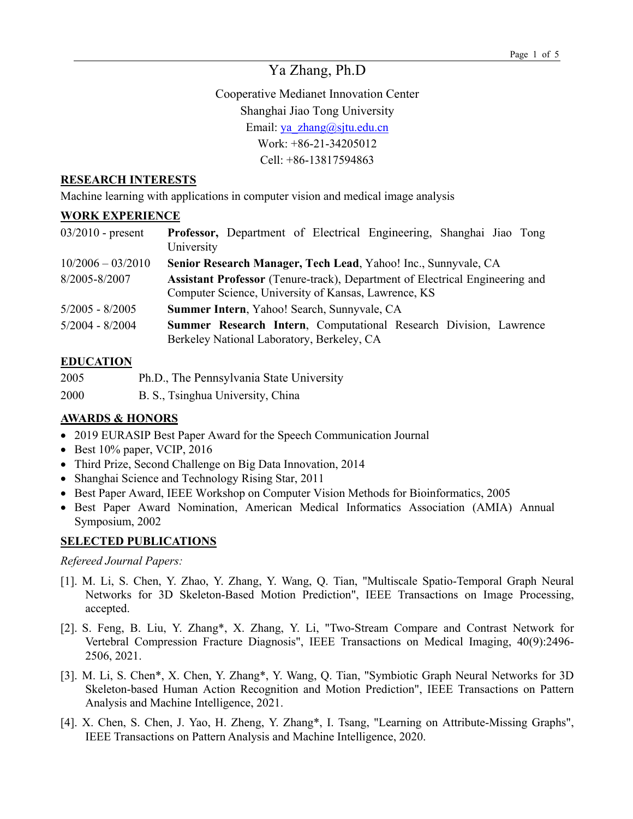# Ya Zhang, Ph.D

Cooperative Medianet Innovation Center Shanghai Jiao Tong University Email: ya\_zhang@sjtu.edu.cn Work: +86-21-34205012 Cell: +86-13817594863

#### **RESEARCH INTERESTS**

Machine learning with applications in computer vision and medical image analysis

#### **WORK EXPERIENCE**

| $03/2010$ - present | Professor, Department of Electrical Engineering, Shanghai Jiao Tong<br>University                                                           |
|---------------------|---------------------------------------------------------------------------------------------------------------------------------------------|
| $10/2006 - 03/2010$ | Senior Research Manager, Tech Lead, Yahoo! Inc., Sunnyvale, CA                                                                              |
| 8/2005-8/2007       | <b>Assistant Professor</b> (Tenure-track), Department of Electrical Engineering and<br>Computer Science, University of Kansas, Lawrence, KS |
| $5/2005 - 8/2005$   | Summer Intern, Yahoo! Search, Sunnyvale, CA                                                                                                 |
| $5/2004 - 8/2004$   | Summer Research Intern, Computational Research Division, Lawrence<br>Berkeley National Laboratory, Berkeley, CA                             |

## **EDUCATION**

- 2005 Ph.D., The Pennsylvania State University
- 2000 B. S., Tsinghua University, China

## **AWARDS & HONORS**

- 2019 EURASIP Best Paper Award for the Speech Communication Journal
- Best 10% paper, VCIP, 2016
- Third Prize, Second Challenge on Big Data Innovation, 2014
- Shanghai Science and Technology Rising Star, 2011
- Best Paper Award, IEEE Workshop on Computer Vision Methods for Bioinformatics, 2005
- Best Paper Award Nomination, American Medical Informatics Association (AMIA) Annual Symposium, 2002

## **SELECTED PUBLICATIONS**

#### *Refereed Journal Papers:*

- [1]. M. Li, S. Chen, Y. Zhao, Y. Zhang, Y. Wang, Q. Tian, "Multiscale Spatio-Temporal Graph Neural Networks for 3D Skeleton-Based Motion Prediction", IEEE Transactions on Image Processing, accepted.
- [2]. S. Feng, B. Liu, Y. Zhang\*, X. Zhang, Y. Li, "Two-Stream Compare and Contrast Network for Vertebral Compression Fracture Diagnosis", IEEE Transactions on Medical Imaging, 40(9):2496- 2506, 2021.
- [3]. M. Li, S. Chen\*, X. Chen, Y. Zhang\*, Y. Wang, Q. Tian, "Symbiotic Graph Neural Networks for 3D Skeleton-based Human Action Recognition and Motion Prediction", IEEE Transactions on Pattern Analysis and Machine Intelligence, 2021.
- [4]. X. Chen, S. Chen, J. Yao, H. Zheng, Y. Zhang\*, I. Tsang, "Learning on Attribute-Missing Graphs", IEEE Transactions on Pattern Analysis and Machine Intelligence, 2020.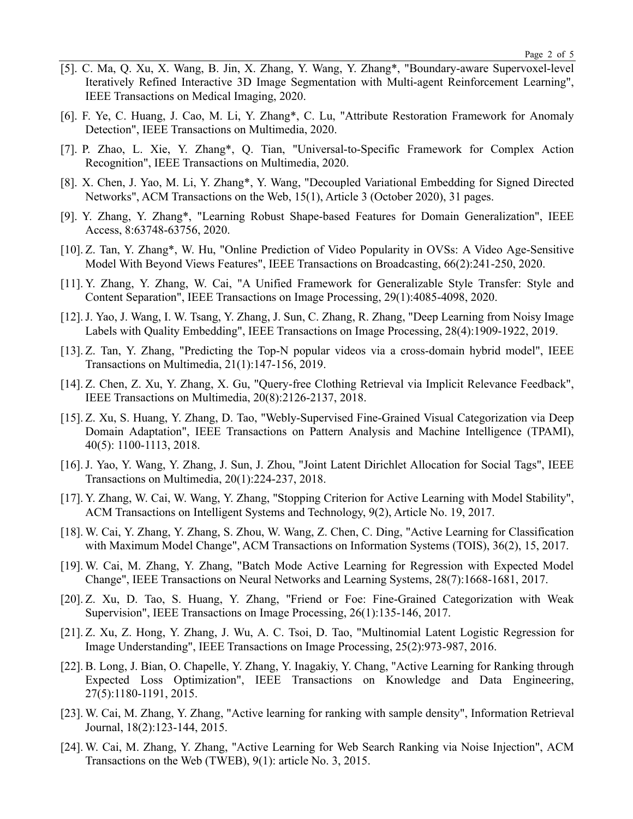- [5]. C. Ma, Q. Xu, X. Wang, B. Jin, X. Zhang, Y. Wang, Y. Zhang\*, "Boundary-aware Supervoxel-level Iteratively Refined Interactive 3D Image Segmentation with Multi-agent Reinforcement Learning", IEEE Transactions on Medical Imaging, 2020.
- [6]. F. Ye, C. Huang, J. Cao, M. Li, Y. Zhang\*, C. Lu, "Attribute Restoration Framework for Anomaly Detection", IEEE Transactions on Multimedia, 2020.
- [7]. P. Zhao, L. Xie, Y. Zhang\*, Q. Tian, "Universal-to-Specific Framework for Complex Action Recognition", IEEE Transactions on Multimedia, 2020.
- [8]. X. Chen, J. Yao, M. Li, Y. Zhang\*, Y. Wang, "Decoupled Variational Embedding for Signed Directed Networks", ACM Transactions on the Web, 15(1), Article 3 (October 2020), 31 pages.
- [9]. Y. Zhang, Y. Zhang\*, "Learning Robust Shape-based Features for Domain Generalization", IEEE Access, 8:63748-63756, 2020.
- [10]. Z. Tan, Y. Zhang\*, W. Hu, "Online Prediction of Video Popularity in OVSs: A Video Age-Sensitive Model With Beyond Views Features", IEEE Transactions on Broadcasting, 66(2):241-250, 2020.
- [11]. Y. Zhang, Y. Zhang, W. Cai, "A Unified Framework for Generalizable Style Transfer: Style and Content Separation", IEEE Transactions on Image Processing, 29(1):4085-4098, 2020.
- [12].J. Yao, J. Wang, I. W. Tsang, Y. Zhang, J. Sun, C. Zhang, R. Zhang, "Deep Learning from Noisy Image Labels with Quality Embedding", IEEE Transactions on Image Processing, 28(4):1909-1922, 2019.
- [13]. Z. Tan, Y. Zhang, "Predicting the Top-N popular videos via a cross-domain hybrid model", IEEE Transactions on Multimedia, 21(1):147-156, 2019.
- [14]. Z. Chen, Z. Xu, Y. Zhang, X. Gu, "Query-free Clothing Retrieval via Implicit Relevance Feedback", IEEE Transactions on Multimedia, 20(8):2126-2137, 2018.
- [15]. Z. Xu, S. Huang, Y. Zhang, D. Tao, "Webly-Supervised Fine-Grained Visual Categorization via Deep Domain Adaptation", IEEE Transactions on Pattern Analysis and Machine Intelligence (TPAMI), 40(5): 1100-1113, 2018.
- [16].J. Yao, Y. Wang, Y. Zhang, J. Sun, J. Zhou, "Joint Latent Dirichlet Allocation for Social Tags", IEEE Transactions on Multimedia, 20(1):224-237, 2018.
- [17]. Y. Zhang, W. Cai, W. Wang, Y. Zhang, "Stopping Criterion for Active Learning with Model Stability", ACM Transactions on Intelligent Systems and Technology, 9(2), Article No. 19, 2017.
- [18]. W. Cai, Y. Zhang, Y. Zhang, S. Zhou, W. Wang, Z. Chen, C. Ding, "Active Learning for Classification with Maximum Model Change", ACM Transactions on Information Systems (TOIS), 36(2), 15, 2017.
- [19]. W. Cai, M. Zhang, Y. Zhang, "Batch Mode Active Learning for Regression with Expected Model Change", IEEE Transactions on Neural Networks and Learning Systems, 28(7):1668-1681, 2017.
- [20]. Z. Xu, D. Tao, S. Huang, Y. Zhang, "Friend or Foe: Fine-Grained Categorization with Weak Supervision", IEEE Transactions on Image Processing, 26(1):135-146, 2017.
- [21]. Z. Xu, Z. Hong, Y. Zhang, J. Wu, A. C. Tsoi, D. Tao, "Multinomial Latent Logistic Regression for Image Understanding", IEEE Transactions on Image Processing, 25(2):973-987, 2016.
- [22]. B. Long, J. Bian, O. Chapelle, Y. Zhang, Y. Inagakiy, Y. Chang, "Active Learning for Ranking through Expected Loss Optimization", IEEE Transactions on Knowledge and Data Engineering, 27(5):1180-1191, 2015.
- [23]. W. Cai, M. Zhang, Y. Zhang, "Active learning for ranking with sample density", Information Retrieval Journal, 18(2):123-144, 2015.
- [24]. W. Cai, M. Zhang, Y. Zhang, "Active Learning for Web Search Ranking via Noise Injection", ACM Transactions on the Web (TWEB), 9(1): article No. 3, 2015.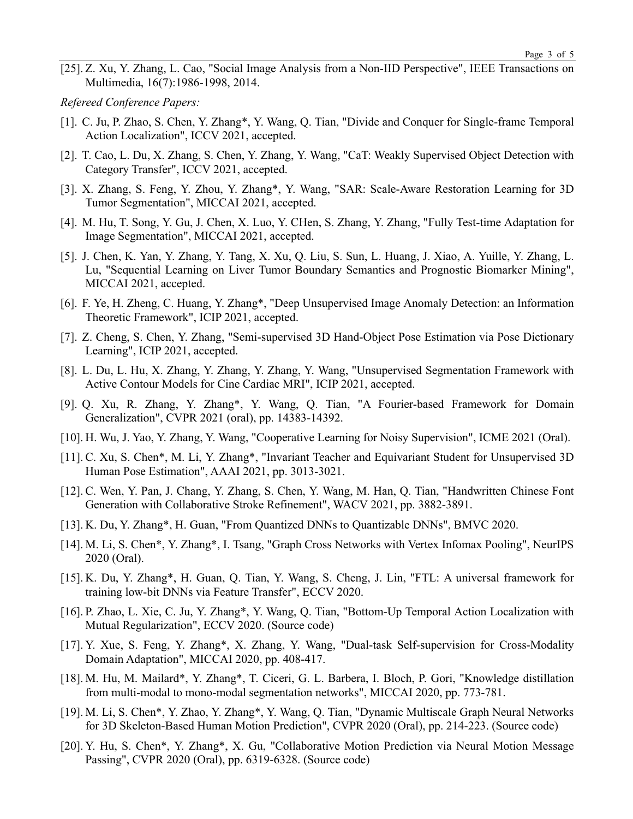[25]. Z. Xu, Y. Zhang, L. Cao, "Social Image Analysis from a Non-IID Perspective", IEEE Transactions on Multimedia, 16(7):1986-1998, 2014.

*Refereed Conference Papers:*

- [1]. C. Ju, P. Zhao, S. Chen, Y. Zhang\*, Y. Wang, Q. Tian, "Divide and Conquer for Single-frame Temporal Action Localization", ICCV 2021, accepted.
- [2]. T. Cao, L. Du, X. Zhang, S. Chen, Y. Zhang, Y. Wang, "CaT: Weakly Supervised Object Detection with Category Transfer", ICCV 2021, accepted.
- [3]. X. Zhang, S. Feng, Y. Zhou, Y. Zhang\*, Y. Wang, "SAR: Scale-Aware Restoration Learning for 3D Tumor Segmentation", MICCAI 2021, accepted.
- [4]. M. Hu, T. Song, Y. Gu, J. Chen, X. Luo, Y. CHen, S. Zhang, Y. Zhang, "Fully Test-time Adaptation for Image Segmentation", MICCAI 2021, accepted.
- [5]. J. Chen, K. Yan, Y. Zhang, Y. Tang, X. Xu, Q. Liu, S. Sun, L. Huang, J. Xiao, A. Yuille, Y. Zhang, L. Lu, "Sequential Learning on Liver Tumor Boundary Semantics and Prognostic Biomarker Mining", MICCAI 2021, accepted.
- [6]. F. Ye, H. Zheng, C. Huang, Y. Zhang\*, "Deep Unsupervised Image Anomaly Detection: an Information Theoretic Framework", ICIP 2021, accepted.
- [7]. Z. Cheng, S. Chen, Y. Zhang, "Semi-supervised 3D Hand-Object Pose Estimation via Pose Dictionary Learning", ICIP 2021, accepted.
- [8]. L. Du, L. Hu, X. Zhang, Y. Zhang, Y. Zhang, Y. Wang, "Unsupervised Segmentation Framework with Active Contour Models for Cine Cardiac MRI", ICIP 2021, accepted.
- [9]. Q. Xu, R. Zhang, Y. Zhang\*, Y. Wang, Q. Tian, "A Fourier-based Framework for Domain Generalization", CVPR 2021 (oral), pp. 14383-14392.
- [10]. H. Wu, J. Yao, Y. Zhang, Y. Wang, "Cooperative Learning for Noisy Supervision", ICME 2021 (Oral).
- [11]. C. Xu, S. Chen\*, M. Li, Y. Zhang\*, "Invariant Teacher and Equivariant Student for Unsupervised 3D Human Pose Estimation", AAAI 2021, pp. 3013-3021.
- [12]. C. Wen, Y. Pan, J. Chang, Y. Zhang, S. Chen, Y. Wang, M. Han, Q. Tian, "Handwritten Chinese Font Generation with Collaborative Stroke Refinement", WACV 2021, pp. 3882-3891.
- [13]. K. Du, Y. Zhang\*, H. Guan, "From Quantized DNNs to Quantizable DNNs", BMVC 2020.
- [14]. M. Li, S. Chen\*, Y. Zhang\*, I. Tsang, "Graph Cross Networks with Vertex Infomax Pooling", NeurIPS 2020 (Oral).
- [15]. K. Du, Y. Zhang\*, H. Guan, Q. Tian, Y. Wang, S. Cheng, J. Lin, "FTL: A universal framework for training low-bit DNNs via Feature Transfer", ECCV 2020.
- [16]. P. Zhao, L. Xie, C. Ju, Y. Zhang\*, Y. Wang, Q. Tian, "Bottom-Up Temporal Action Localization with Mutual Regularization", ECCV 2020. (Source code)
- [17]. Y. Xue, S. Feng, Y. Zhang\*, X. Zhang, Y. Wang, "Dual-task Self-supervision for Cross-Modality Domain Adaptation", MICCAI 2020, pp. 408-417.
- [18]. M. Hu, M. Mailard\*, Y. Zhang\*, T. Ciceri, G. L. Barbera, I. Bloch, P. Gori, "Knowledge distillation from multi-modal to mono-modal segmentation networks", MICCAI 2020, pp. 773-781.
- [19]. M. Li, S. Chen\*, Y. Zhao, Y. Zhang\*, Y. Wang, Q. Tian, "Dynamic Multiscale Graph Neural Networks for 3D Skeleton-Based Human Motion Prediction", CVPR 2020 (Oral), pp. 214-223. (Source code)
- [20]. Y. Hu, S. Chen\*, Y. Zhang\*, X. Gu, "Collaborative Motion Prediction via Neural Motion Message Passing", CVPR 2020 (Oral), pp. 6319-6328. (Source code)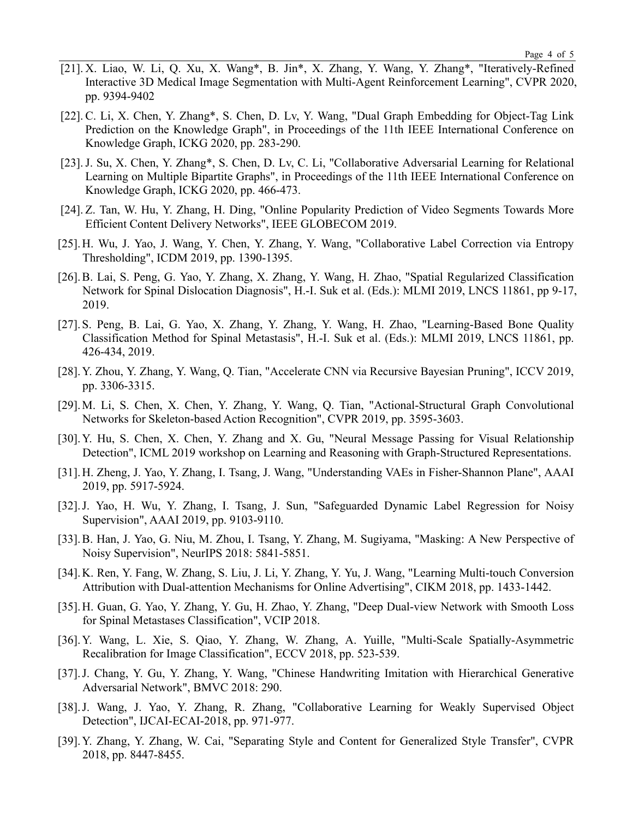- [21]. X. Liao, W. Li, Q. Xu, X. Wang\*, B. Jin\*, X. Zhang, Y. Wang, Y. Zhang\*, "Iteratively-Refined Interactive 3D Medical Image Segmentation with Multi-Agent Reinforcement Learning", CVPR 2020, pp. 9394-9402
- [22]. C. Li, X. Chen, Y. Zhang\*, S. Chen, D. Lv, Y. Wang, "Dual Graph Embedding for Object-Tag Link Prediction on the Knowledge Graph", in Proceedings of the 11th IEEE International Conference on Knowledge Graph, ICKG 2020, pp. 283-290.
- [23].J. Su, X. Chen, Y. Zhang\*, S. Chen, D. Lv, C. Li, "Collaborative Adversarial Learning for Relational Learning on Multiple Bipartite Graphs", in Proceedings of the 11th IEEE International Conference on Knowledge Graph, ICKG 2020, pp. 466-473.
- [24]. Z. Tan, W. Hu, Y. Zhang, H. Ding, "Online Popularity Prediction of Video Segments Towards More Efficient Content Delivery Networks", IEEE GLOBECOM 2019.
- [25].H. Wu, J. Yao, J. Wang, Y. Chen, Y. Zhang, Y. Wang, "Collaborative Label Correction via Entropy Thresholding", ICDM 2019, pp. 1390-1395.
- [26].B. Lai, S. Peng, G. Yao, Y. Zhang, X. Zhang, Y. Wang, H. Zhao, "Spatial Regularized Classification Network for Spinal Dislocation Diagnosis", H.-I. Suk et al. (Eds.): MLMI 2019, LNCS 11861, pp 9-17, 2019.
- [27].S. Peng, B. Lai, G. Yao, X. Zhang, Y. Zhang, Y. Wang, H. Zhao, "Learning-Based Bone Quality Classification Method for Spinal Metastasis", H.-I. Suk et al. (Eds.): MLMI 2019, LNCS 11861, pp. 426-434, 2019.
- [28].Y. Zhou, Y. Zhang, Y. Wang, Q. Tian, "Accelerate CNN via Recursive Bayesian Pruning", ICCV 2019, pp. 3306-3315.
- [29].M. Li, S. Chen, X. Chen, Y. Zhang, Y. Wang, Q. Tian, "Actional-Structural Graph Convolutional Networks for Skeleton-based Action Recognition", CVPR 2019, pp. 3595-3603.
- [30].Y. Hu, S. Chen, X. Chen, Y. Zhang and X. Gu, "Neural Message Passing for Visual Relationship Detection", ICML 2019 workshop on Learning and Reasoning with Graph-Structured Representations.
- [31].H. Zheng, J. Yao, Y. Zhang, I. Tsang, J. Wang, "Understanding VAEs in Fisher-Shannon Plane", AAAI 2019, pp. 5917-5924.
- [32].J. Yao, H. Wu, Y. Zhang, I. Tsang, J. Sun, "Safeguarded Dynamic Label Regression for Noisy Supervision", AAAI 2019, pp. 9103-9110.
- [33].B. Han, J. Yao, G. Niu, M. Zhou, I. Tsang, Y. Zhang, M. Sugiyama, "Masking: A New Perspective of Noisy Supervision", NeurIPS 2018: 5841-5851.
- [34].K. Ren, Y. Fang, W. Zhang, S. Liu, J. Li, Y. Zhang, Y. Yu, J. Wang, "Learning Multi-touch Conversion Attribution with Dual-attention Mechanisms for Online Advertising", CIKM 2018, pp. 1433-1442.
- [35].H. Guan, G. Yao, Y. Zhang, Y. Gu, H. Zhao, Y. Zhang, "Deep Dual-view Network with Smooth Loss for Spinal Metastases Classification", VCIP 2018.
- [36].Y. Wang, L. Xie, S. Qiao, Y. Zhang, W. Zhang, A. Yuille, "Multi-Scale Spatially-Asymmetric Recalibration for Image Classification", ECCV 2018, pp. 523-539.
- [37].J. Chang, Y. Gu, Y. Zhang, Y. Wang, "Chinese Handwriting Imitation with Hierarchical Generative Adversarial Network", BMVC 2018: 290.
- [38].J. Wang, J. Yao, Y. Zhang, R. Zhang, "Collaborative Learning for Weakly Supervised Object Detection", IJCAI-ECAI-2018, pp. 971-977.
- [39].Y. Zhang, Y. Zhang, W. Cai, "Separating Style and Content for Generalized Style Transfer", CVPR 2018, pp. 8447-8455.